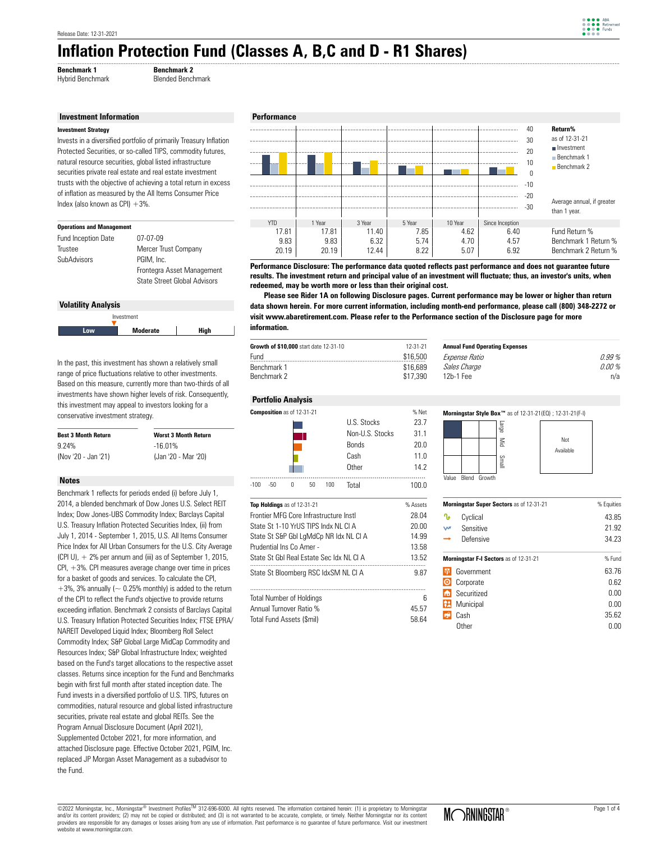# **Inflation Protection Fund (Classes A, B,C and D - R1 Shares)**  ..........................................................................................................................................................................................................................................................................................................................................

**Benchmark 1 Benchmark 2**<br> **Hybrid Benchmark** Blended Bench Blended Benchmark

#### **Investment Information**

#### **Investment Strategy**

Invests in a diversified portfolio of primarily Treasury Inflation Protected Securities, or so-called TIPS, commodity futures, natural resource securities, global listed infrastructure securities private real estate and real estate investment trusts with the objective of achieving a total return in excess of inflation as measured by the All Items Consumer Price Index (also known as CPI)  $+3%$ .

| <b>Operations and Management</b> |                                                            |
|----------------------------------|------------------------------------------------------------|
| Fund Inception Date              | 07-07-09                                                   |
| Trustee                          | Mercer Trust Company                                       |
| SubAdvisors                      | PGIM. Inc.                                                 |
|                                  | Frontegra Asset Management<br>State Street Global Advisors |
|                                  |                                                            |

## **Volatility Analysis**



In the past, this investment has shown a relatively small range of price fluctuations relative to other investments. Based on this measure, currently more than two-thirds of all investments have shown higher levels of risk. Consequently, this investment may appeal to investors looking for a conservative investment strategy.

| <b>Best 3 Month Return</b> | <b>Worst 3 Month Return</b> |
|----------------------------|-----------------------------|
| 9.24%                      | $-16.01%$                   |
| (Nov '20 - Jan '21)        | (Jan '20 - Mar '20)         |

### **Notes**

Benchmark 1 reflects for periods ended (i) before July 1, 2014, a blended benchmark of Dow Jones U.S. Select REIT Index; Dow Jones-UBS Commodity Index; Barclays Capital U.S. Treasury Inflation Protected Securities Index, (ii) from July 1, 2014 - September 1, 2015, U.S. All Items Consumer Price Index for All Urban Consumers for the U.S. City Average (CPI U),  $+2\%$  per annum and (iii) as of September 1, 2015, CPI, +3%. CPI measures average change over time in prices for a basket of goods and services. To calculate the CPI,  $+3\%$ , 3% annually ( $\sim 0.25\%$  monthly) is added to the return of the CPI to reflect the Fund's objective to provide returns exceeding inflation. Benchmark 2 consists of Barclays Capital U.S. Treasury Inflation Protected Securities Index; FTSE EPRA/ NAREIT Developed Liquid Index; Bloomberg Roll Select Commodity Index; S&P Global Large MidCap Commodity and Resources Index; S&P Global Infrastructure Index; weighted based on the Fund's target allocations to the respective asset classes. Returns since inception for the Fund and Benchmarks begin with first full month after stated inception date. The Fund invests in a diversified portfolio of U.S. TIPS, futures on commodities, natural resource and global listed infrastructure securities, private real estate and global REITs. See the Program Annual Disclosure Document (April 2021), Supplemented October 2021, for more information, and attached Disclosure page. Effective October 2021, PGIM, Inc. replaced JP Morgan Asset Management as a subadvisor to the Fund.



**Performance Disclosure: The performance data quoted reflects past performance and does not guarantee future results. The investment return and principal value of an investment will fluctuate; thus, an investor's units, when redeemed, may be worth more or less than their original cost.**

data shown herein. For more current information, including month-end performance, please call (800) 348-2272 or  **Please see Rider 1A on following Disclosure pages. Current performance may be lower or higher than return visit www.abaretirement.com. Please refer to the Performance section of the Disclosure page for more information.**

| <b>Growth of \$10,000</b> start date 12-31-10 | 12-31-21 | A۱ |
|-----------------------------------------------|----------|----|
| Fund                                          | \$16,500 | F. |
| Benchmark 1                                   | \$16,689 |    |
| Benchmark 2                                   | \$17.390 |    |
|                                               |          |    |

| 0.99%  |
|--------|
| በ በበ % |
| n/a    |
|        |

#### **Portfolio Analysis**



| Top Holdings as of 12-31-21             | % Assets |
|-----------------------------------------|----------|
| Frontier MFG Core Infrastructure Instl. | 28.04    |
| State St 1-10 YrUS TIPS Indx NL CLA     | 20.00    |
| State St S&P Gbl LgMdCp NR Idx NL CI A  | 14.99    |
| Prudential Ins Co Amer -                | 13.58    |
| State St Gbl Real Estate Sec Idx NLCLA  | 13.52    |
| State St Bloomberg RSC IdxSM NL CI A    | 9.87     |
| <b>Total Number of Holdings</b>         | հ        |
| Annual Turnover Ratio %                 | 45.57    |

Total Fund Assets (\$mil) 58.64





| Morningstar Super Sectors as of 12-31-21 |                                        | % Equities |  |
|------------------------------------------|----------------------------------------|------------|--|
| ∿                                        | Cyclical                               | 43.85      |  |
| w                                        | Sensitive                              | 21.92      |  |
|                                          | Defensive                              | 34.23      |  |
|                                          | Morningstar F-I Sectors as of 12-31-21 | % Fund     |  |
|                                          | Government                             | 63.76      |  |
|                                          | Corporate                              | 0.62       |  |
| m                                        | Securitized                            | 0.00       |  |
| R                                        | Municipal                              | 0.00       |  |
|                                          | Cash                                   | 35.62      |  |
|                                          | Other                                  | 0.00       |  |

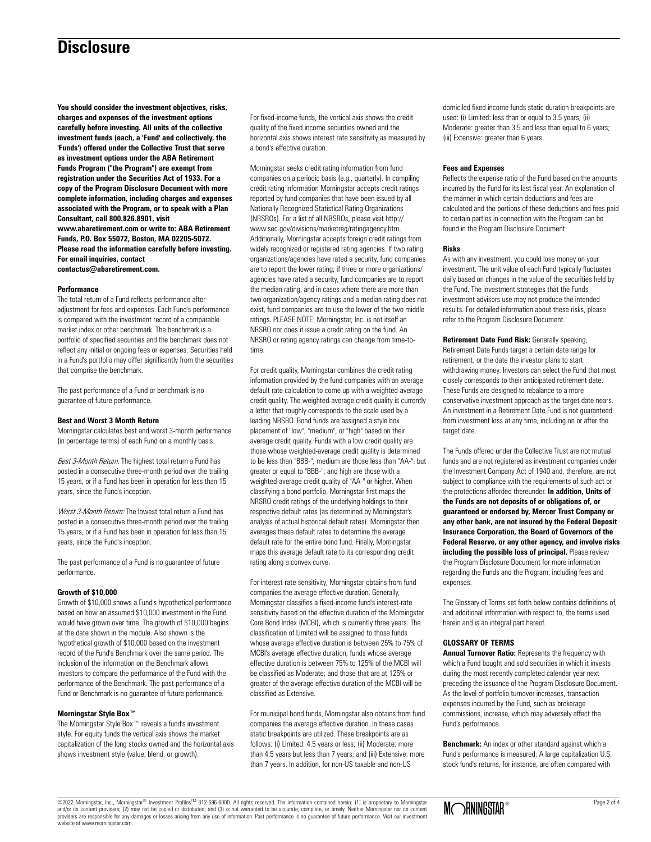# **Disclosure**

**You should consider the investment objectives, risks, charges and expenses of the investment options carefully before investing. All units of the collective investment funds (each, a 'Fund' and collectively, the 'Funds') offered under the Collective Trust that serve as investment options under the ABA Retirement Funds Program ("the Program") are exempt from registration under the Securities Act of 1933. For a copy of the Program Disclosure Document with more complete information, including charges and expenses associated with the Program, or to speak with a Plan Consultant, call 800.826.8901, visit www.abaretirement.com or write to: ABA Retirement Funds, P.O. Box 55072, Boston, MA 02205-5072. Please read the information carefully before investing. For email inquiries, contact contactus@abaretirement.com.**

### **Performance**

The total return of a Fund reflects performance after adjustment for fees and expenses. Each Fund's performance is compared with the investment record of a comparable market index or other benchmark. The benchmark is a portfolio of specified securities and the benchmark does not reflect any initial or ongoing fees or expenses. Securities held in a Fund's portfolio may differ significantly from the securities that comprise the benchmark.

The past performance of a Fund or benchmark is no guarantee of future performance.

#### **Best and Worst 3 Month Return**

Morningstar calculates best and worst 3-month performance (in percentage terms) of each Fund on a monthly basis.

Best 3-Month Return: The highest total return a Fund has posted in a consecutive three-month period over the trailing 15 years, or if a Fund has been in operation for less than 15 years, since the Fund's inception.

Worst 3-Month Return: The lowest total return a Fund has posted in a consecutive three-month period over the trailing 15 years, or if a Fund has been in operation for less than 15 years, since the Fund's inception.

The past performance of a Fund is no guarantee of future performance.

#### **Growth of \$10,000**

Growth of \$10,000 shows a Fund's hypothetical performance based on how an assumed \$10,000 investment in the Fund would have grown over time. The growth of \$10,000 begins at the date shown in the module. Also shown is the hypothetical growth of \$10,000 based on the investment record of the Fund's Benchmark over the same period. The inclusion of the information on the Benchmark allows investors to compare the performance of the Fund with the performance of the Benchmark. The past performance of a Fund or Benchmark is no guarantee of future performance.

# **Morningstar Style Box™**

The Morningstar Style Box™ reveals a fund's investment style. For equity funds the vertical axis shows the market capitalization of the long stocks owned and the horizontal axis shows investment style (value, blend, or growth).

For fixed-income funds, the vertical axis shows the credit quality of the fixed income securities owned and the horizontal axis shows interest rate sensitivity as measured by a bond's effective duration.

Morningstar seeks credit rating information from fund companies on a periodic basis (e.g., quarterly). In compiling credit rating information Morningstar accepts credit ratings reported by fund companies that have been issued by all Nationally Recognized Statistical Rating Organizations (NRSROs). For a list of all NRSROs, please visit http:// www.sec.gov/divisions/marketreg/ratingagency.htm. Additionally, Morningstar accepts foreign credit ratings from widely recognized or registered rating agencies. If two rating organizations/agencies have rated a security, fund companies are to report the lower rating; if three or more organizations/ agencies have rated a security, fund companies are to report the median rating, and in cases where there are more than two organization/agency ratings and a median rating does not exist, fund companies are to use the lower of the two middle ratings. PLEASE NOTE: Morningstar, Inc. is not itself an NRSRO nor does it issue a credit rating on the fund. An NRSRO or rating agency ratings can change from time-totime.

For credit quality, Morningstar combines the credit rating information provided by the fund companies with an average default rate calculation to come up with a weighted-average credit quality. The weighted-average credit quality is currently a letter that roughly corresponds to the scale used by a leading NRSRO. Bond funds are assigned a style box placement of "low", "medium", or "high" based on their average credit quality. Funds with a low credit quality are those whose weighted-average credit quality is determined to be less than "BBB-"; medium are those less than "AA-", but greater or equal to "BBB-"; and high are those with a weighted-average credit quality of "AA-" or higher. When classifying a bond portfolio, Morningstar first maps the NRSRO credit ratings of the underlying holdings to their respective default rates (as determined by Morningstar's analysis of actual historical default rates). Morningstar then averages these default rates to determine the average default rate for the entire bond fund. Finally, Morningstar maps this average default rate to its corresponding credit rating along a convex curve.

For interest-rate sensitivity, Morningstar obtains from fund companies the average effective duration. Generally, Morningstar classifies a fixed-income fund's interest-rate sensitivity based on the effective duration of the Morningstar Core Bond Index (MCBI), which is currently three years. The classification of Limited will be assigned to those funds whose average effective duration is between 25% to 75% of MCBI's average effective duration; funds whose average effective duration is between 75% to 125% of the MCBI will be classified as Moderate; and those that are at 125% or greater of the average effective duration of the MCBI will be classified as Extensive.

For municipal bond funds, Morningstar also obtains from fund companies the average effective duration. In these cases static breakpoints are utilized. These breakpoints are as follows: (i) Limited: 4.5 years or less; (ii) Moderate: more than 4.5 years but less than 7 years; and (iii) Extensive: more than 7 years. In addition, for non-US taxable and non-US

domiciled fixed income funds static duration breakpoints are used: (i) Limited: less than or equal to 3.5 years; (ii) Moderate: greater than 3.5 and less than equal to 6 years; (iii) Extensive: greater than 6 years.

#### **Fees and Expenses**

Reflects the expense ratio of the Fund based on the amounts incurred by the Fund for its last fiscal year. An explanation of the manner in which certain deductions and fees are calculated and the portions of these deductions and fees paid to certain parties in connection with the Program can be found in the Program Disclosure Document.

#### **Risks**

As with any investment, you could lose money on your investment. The unit value of each Fund typically fluctuates daily based on changes in the value of the securities held by the Fund. The investment strategies that the Funds' investment advisors use may not produce the intended results. For detailed information about these risks, please refer to the Program Disclosure Document.

**Retirement Date Fund Risk:** Generally speaking, Retirement Date Funds target a certain date range for retirement, or the date the investor plans to start withdrawing money. Investors can select the Fund that most closely corresponds to their anticipated retirement date. These Funds are designed to rebalance to a more conservative investment approach as the target date nears. An investment in a Retirement Date Fund is not guaranteed from investment loss at any time, including on or after the target date.

The Funds offered under the Collective Trust are not mutual funds and are not registered as investment companies under the Investment Company Act of 1940 and, therefore, are not subject to compliance with the requirements of such act or the protections afforded thereunder. **In addition, Units of the Funds are not deposits of or obligations of, or guaranteed or endorsed by, Mercer Trust Company or any other bank, are not insured by the Federal Deposit Insurance Corporation, the Board of Governors of the Federal Reserve, or any other agency, and involve risks including the possible loss of principal.** Please review the Program Disclosure Document for more information regarding the Funds and the Program, including fees and expenses.

The Glossary of Terms set forth below contains definitions of, and additional information with respect to, the terms used herein and is an integral part hereof.

## **GLOSSARY OF TERMS**

**Annual Turnover Ratio:** Represents the frequency with which a Fund bought and sold securities in which it invests during the most recently completed calendar year next preceding the issuance of the Program Disclosure Document. As the level of portfolio turnover increases, transaction expenses incurred by the Fund, such as brokerage commissions, increase, which may adversely affect the Fund's performance.

**Benchmark:** An index or other standard against which a Fund's performance is measured. A large capitalization U.S. stock fund's returns, for instance, are often compared with

©2022 Morningstar, Inc., Morningstar® Investment ProfilesTM 312-696-6000. All rights reserved. The information contained herein: (1) is proprietary to Morningstar and/or its content providers; (2) may not be copied or distributed; and (3) is not warranted to be accurate, complete, or timely. Neither Morningstar nor its content providers are responsible for any damages or losses arising from any use of information. Past performance is no guarantee of future performance. Visit our investment website at www.morningstar.com.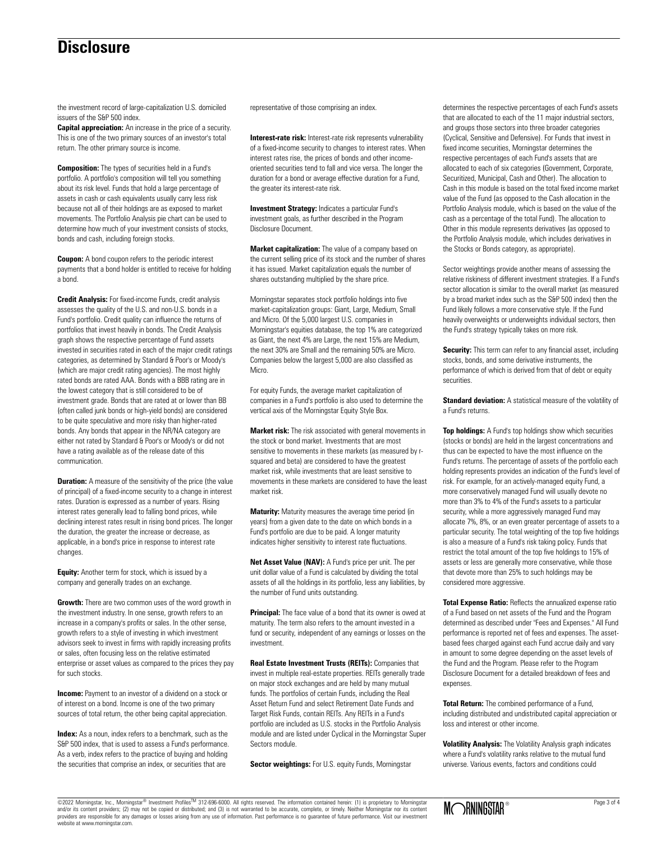# **Disclosure**

the investment record of large-capitalization U.S. domiciled issuers of the S&P 500 index.

**Capital appreciation:** An increase in the price of a security. This is one of the two primary sources of an investor's total return. The other primary source is income.

**Composition:** The types of securities held in a Fund's portfolio. A portfolio's composition will tell you something about its risk level. Funds that hold a large percentage of assets in cash or cash equivalents usually carry less risk because not all of their holdings are as exposed to market movements. The Portfolio Analysis pie chart can be used to determine how much of your investment consists of stocks, bonds and cash, including foreign stocks.

**Coupon:** A bond coupon refers to the periodic interest payments that a bond holder is entitled to receive for holding a bond.

**Credit Analysis:** For fixed-income Funds, credit analysis assesses the quality of the U.S. and non-U.S. bonds in a Fund's portfolio. Credit quality can influence the returns of portfolios that invest heavily in bonds. The Credit Analysis graph shows the respective percentage of Fund assets invested in securities rated in each of the major credit ratings categories, as determined by Standard & Poor's or Moody's (which are major credit rating agencies). The most highly rated bonds are rated AAA. Bonds with a BBB rating are in the lowest category that is still considered to be of investment grade. Bonds that are rated at or lower than BB (often called junk bonds or high-yield bonds) are considered to be quite speculative and more risky than higher-rated bonds. Any bonds that appear in the NR/NA category are either not rated by Standard & Poor's or Moody's or did not have a rating available as of the release date of this communication.

**Duration:** A measure of the sensitivity of the price (the value of principal) of a fixed-income security to a change in interest rates. Duration is expressed as a number of years. Rising interest rates generally lead to falling bond prices, while declining interest rates result in rising bond prices. The longer the duration, the greater the increase or decrease, as applicable, in a bond's price in response to interest rate changes.

**Equity:** Another term for stock, which is issued by a company and generally trades on an exchange.

**Growth:** There are two common uses of the word growth in the investment industry. In one sense, growth refers to an increase in a company's profits or sales. In the other sense, growth refers to a style of investing in which investment advisors seek to invest in firms with rapidly increasing profits or sales, often focusing less on the relative estimated enterprise or asset values as compared to the prices they pay for such stocks.

**Income:** Payment to an investor of a dividend on a stock or of interest on a bond. Income is one of the two primary sources of total return, the other being capital appreciation.

**Index:** As a noun, index refers to a benchmark, such as the S&P 500 index, that is used to assess a Fund's performance. As a verb, index refers to the practice of buying and holding the securities that comprise an index, or securities that are

representative of those comprising an index.

**Interest-rate risk:** Interest-rate risk represents vulnerability of a fixed-income security to changes to interest rates. When interest rates rise, the prices of bonds and other incomeoriented securities tend to fall and vice versa. The longer the duration for a bond or average effective duration for a Fund, the greater its interest-rate risk.

**Investment Strategy:** Indicates a particular Fund's investment goals, as further described in the Program Disclosure Document.

**Market capitalization:** The value of a company based on the current selling price of its stock and the number of shares it has issued. Market capitalization equals the number of shares outstanding multiplied by the share price.

Morningstar separates stock portfolio holdings into five market-capitalization groups: Giant, Large, Medium, Small and Micro. Of the 5,000 largest U.S. companies in Morningstar's equities database, the top 1% are categorized as Giant, the next 4% are Large, the next 15% are Medium, the next 30% are Small and the remaining 50% are Micro. Companies below the largest 5,000 are also classified as Micro.

For equity Funds, the average market capitalization of companies in a Fund's portfolio is also used to determine the vertical axis of the Morningstar Equity Style Box.

**Market risk:** The risk associated with general movements in the stock or bond market. Investments that are most sensitive to movements in these markets (as measured by rsquared and beta) are considered to have the greatest market risk, while investments that are least sensitive to movements in these markets are considered to have the least market risk.

**Maturity:** Maturity measures the average time period (in years) from a given date to the date on which bonds in a Fund's portfolio are due to be paid. A longer maturity indicates higher sensitivity to interest rate fluctuations.

**Net Asset Value (NAV):** A Fund's price per unit. The per unit dollar value of a Fund is calculated by dividing the total assets of all the holdings in its portfolio, less any liabilities, by the number of Fund units outstanding.

**Principal:** The face value of a bond that its owner is owed at maturity. The term also refers to the amount invested in a fund or security, independent of any earnings or losses on the investment.

**Real Estate Investment Trusts (REITs):** Companies that invest in multiple real-estate properties. REITs generally trade on major stock exchanges and are held by many mutual funds. The portfolios of certain Funds, including the Real Asset Return Fund and select Retirement Date Funds and Target Risk Funds, contain REITs. Any REITs in a Fund's portfolio are included as U.S. stocks in the Portfolio Analysis module and are listed under Cyclical in the Morningstar Super Sectors module.

**Sector weightings:** For U.S. equity Funds, Morningstar

determines the respective percentages of each Fund's assets that are allocated to each of the 11 major industrial sectors, and groups those sectors into three broader categories (Cyclical, Sensitive and Defensive). For Funds that invest in fixed income securities, Morningstar determines the respective percentages of each Fund's assets that are allocated to each of six categories (Government, Corporate, Securitized, Municipal, Cash and Other). The allocation to Cash in this module is based on the total fixed income market value of the Fund (as opposed to the Cash allocation in the Portfolio Analysis module, which is based on the value of the cash as a percentage of the total Fund). The allocation to Other in this module represents derivatives (as opposed to the Portfolio Analysis module, which includes derivatives in the Stocks or Bonds category, as appropriate).

Sector weightings provide another means of assessing the relative riskiness of different investment strategies. If a Fund's sector allocation is similar to the overall market (as measured by a broad market index such as the S&P 500 index) then the Fund likely follows a more conservative style. If the Fund heavily overweights or underweights individual sectors, then the Fund's strategy typically takes on more risk.

**Security:** This term can refer to any financial asset, including stocks, bonds, and some derivative instruments, the performance of which is derived from that of debt or equity securities.

**Standard deviation:** A statistical measure of the volatility of a Fund's returns.

**Top holdings:** A Fund's top holdings show which securities (stocks or bonds) are held in the largest concentrations and thus can be expected to have the most influence on the Fund's returns. The percentage of assets of the portfolio each holding represents provides an indication of the Fund's level of risk. For example, for an actively-managed equity Fund, a more conservatively managed Fund will usually devote no more than 3% to 4% of the Fund's assets to a particular security, while a more aggressively managed Fund may allocate 7%, 8%, or an even greater percentage of assets to a particular security. The total weighting of the top five holdings is also a measure of a Fund's risk taking policy. Funds that restrict the total amount of the top five holdings to 15% of assets or less are generally more conservative, while those that devote more than 25% to such holdings may be considered more aggressive.

**Total Expense Ratio:** Reflects the annualized expense ratio of a Fund based on net assets of the Fund and the Program determined as described under "Fees and Expenses." All Fund performance is reported net of fees and expenses. The assetbased fees charged against each Fund accrue daily and vary in amount to some degree depending on the asset levels of the Fund and the Program. Please refer to the Program Disclosure Document for a detailed breakdown of fees and expenses.

**Total Return:** The combined performance of a Fund, including distributed and undistributed capital appreciation or loss and interest or other income.

**Volatility Analysis:** The Volatility Analysis graph indicates where a Fund's volatility ranks relative to the mutual fund universe. Various events, factors and conditions could

©2022 Morningstar, Inc., Morningstar® Investment ProfilesTM 312-696-6000. All rights reserved. The information contained herein: (1) is proprietary to Morningstar and/or its content providers; (2) may not be copied or distributed; and (3) is not warranted to be accurate, complete, or timely. Neither Morningstar nor its content providers are responsible for any damages or losses arising from any use of information. Past performance is no guarantee of future performance. Visit our investment website at www.morningstar.com.